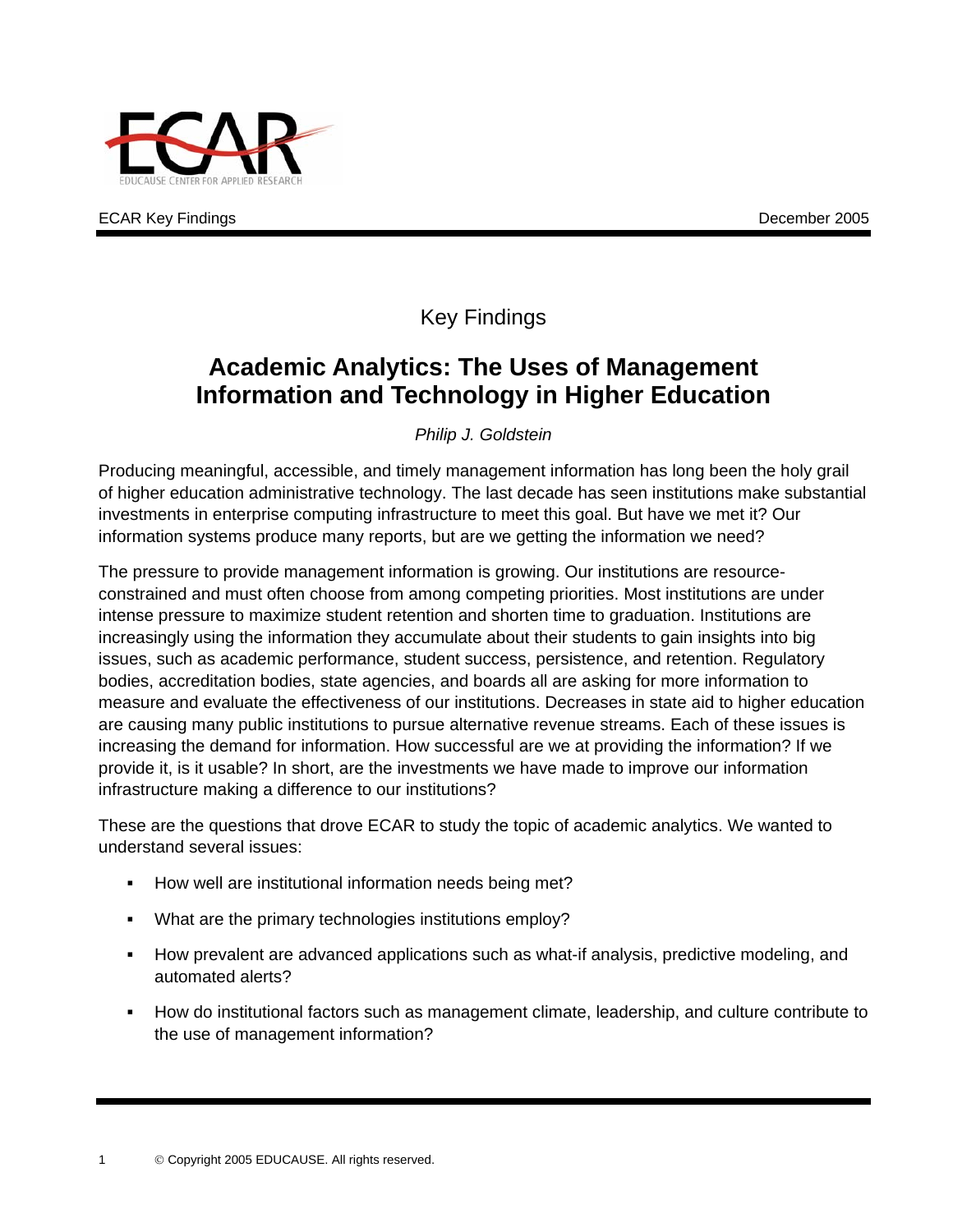

ECAR Key Findings **December 2005 December 2005** 

### Key Findings

## **Academic Analytics: The Uses of Management Information and Technology in Higher Education**

*Philip J. Goldstein* 

Producing meaningful, accessible, and timely management information has long been the holy grail of higher education administrative technology. The last decade has seen institutions make substantial investments in enterprise computing infrastructure to meet this goal. But have we met it? Our information systems produce many reports, but are we getting the information we need?

The pressure to provide management information is growing. Our institutions are resourceconstrained and must often choose from among competing priorities. Most institutions are under intense pressure to maximize student retention and shorten time to graduation. Institutions are increasingly using the information they accumulate about their students to gain insights into big issues, such as academic performance, student success, persistence, and retention. Regulatory bodies, accreditation bodies, state agencies, and boards all are asking for more information to measure and evaluate the effectiveness of our institutions. Decreases in state aid to higher education are causing many public institutions to pursue alternative revenue streams. Each of these issues is increasing the demand for information. How successful are we at providing the information? If we provide it, is it usable? In short, are the investments we have made to improve our information infrastructure making a difference to our institutions?

These are the questions that drove ECAR to study the topic of academic analytics. We wanted to understand several issues:

- How well are institutional information needs being met?
- What are the primary technologies institutions employ?
- $\mathbf{r}$ How prevalent are advanced applications such as what-if analysis, predictive modeling, and automated alerts?
- How do institutional factors such as management climate, leadership, and culture contribute to the use of management information?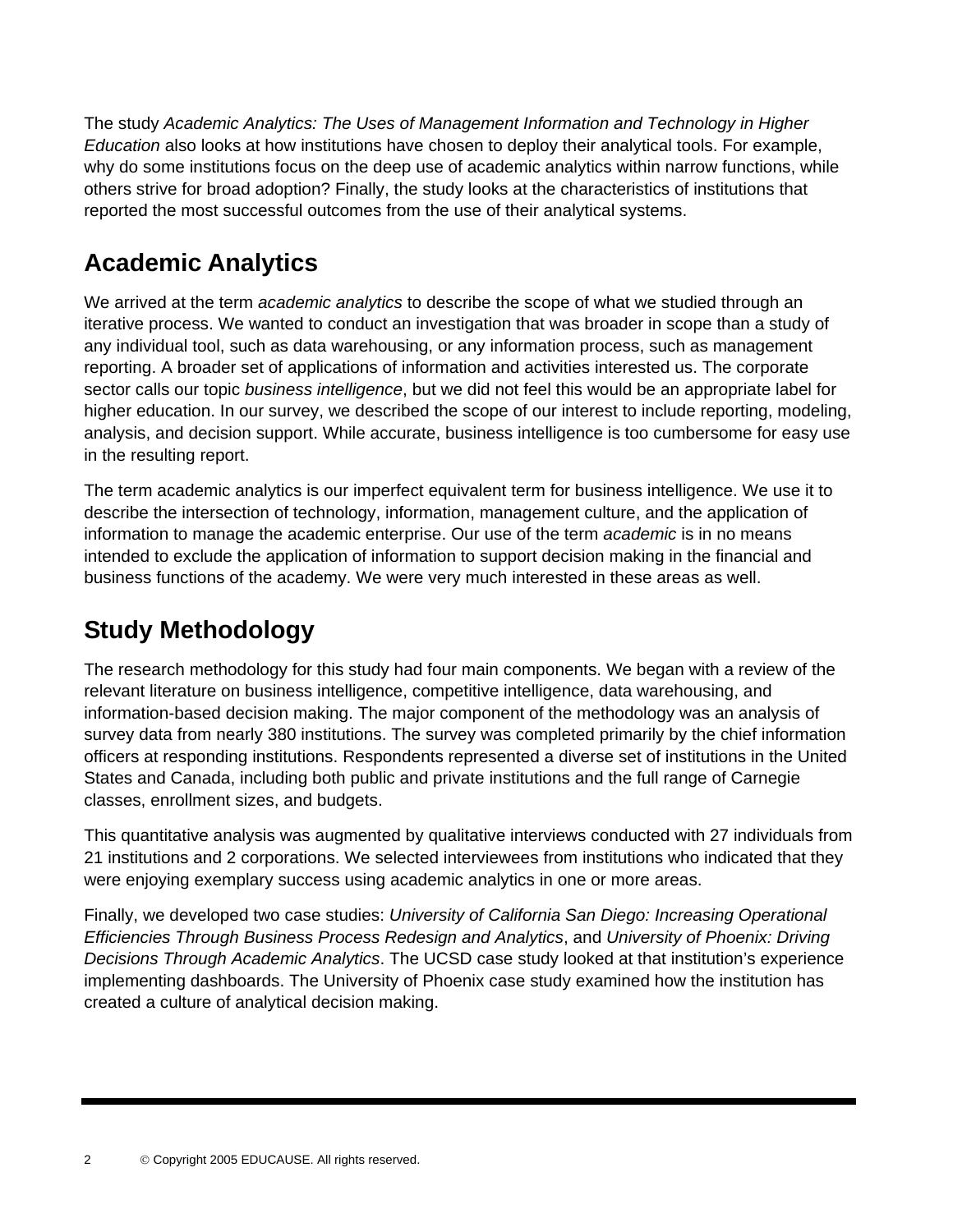The study *Academic Analytics: The Uses of Management Information and Technology in Higher Education* also looks at how institutions have chosen to deploy their analytical tools. For example, why do some institutions focus on the deep use of academic analytics within narrow functions, while others strive for broad adoption? Finally, the study looks at the characteristics of institutions that reported the most successful outcomes from the use of their analytical systems.

## **Academic Analytics**

We arrived at the term *academic analytics* to describe the scope of what we studied through an iterative process. We wanted to conduct an investigation that was broader in scope than a study of any individual tool, such as data warehousing, or any information process, such as management reporting. A broader set of applications of information and activities interested us. The corporate sector calls our topic *business intelligence*, but we did not feel this would be an appropriate label for higher education. In our survey, we described the scope of our interest to include reporting, modeling, analysis, and decision support. While accurate, business intelligence is too cumbersome for easy use in the resulting report.

The term academic analytics is our imperfect equivalent term for business intelligence. We use it to describe the intersection of technology, information, management culture, and the application of information to manage the academic enterprise. Our use of the term *academic* is in no means intended to exclude the application of information to support decision making in the financial and business functions of the academy. We were very much interested in these areas as well.

# **Study Methodology**

The research methodology for this study had four main components. We began with a review of the relevant literature on business intelligence, competitive intelligence, data warehousing, and information-based decision making. The major component of the methodology was an analysis of survey data from nearly 380 institutions. The survey was completed primarily by the chief information officers at responding institutions. Respondents represented a diverse set of institutions in the United States and Canada, including both public and private institutions and the full range of Carnegie classes, enrollment sizes, and budgets.

This quantitative analysis was augmented by qualitative interviews conducted with 27 individuals from 21 institutions and 2 corporations. We selected interviewees from institutions who indicated that they were enjoying exemplary success using academic analytics in one or more areas.

Finally, we developed two case studies: *University of California San Diego: Increasing Operational Efficiencies Through Business Process Redesign and Analytics*, and *University of Phoenix: Driving Decisions Through Academic Analytics*. The UCSD case study looked at that institution's experience implementing dashboards. The University of Phoenix case study examined how the institution has created a culture of analytical decision making.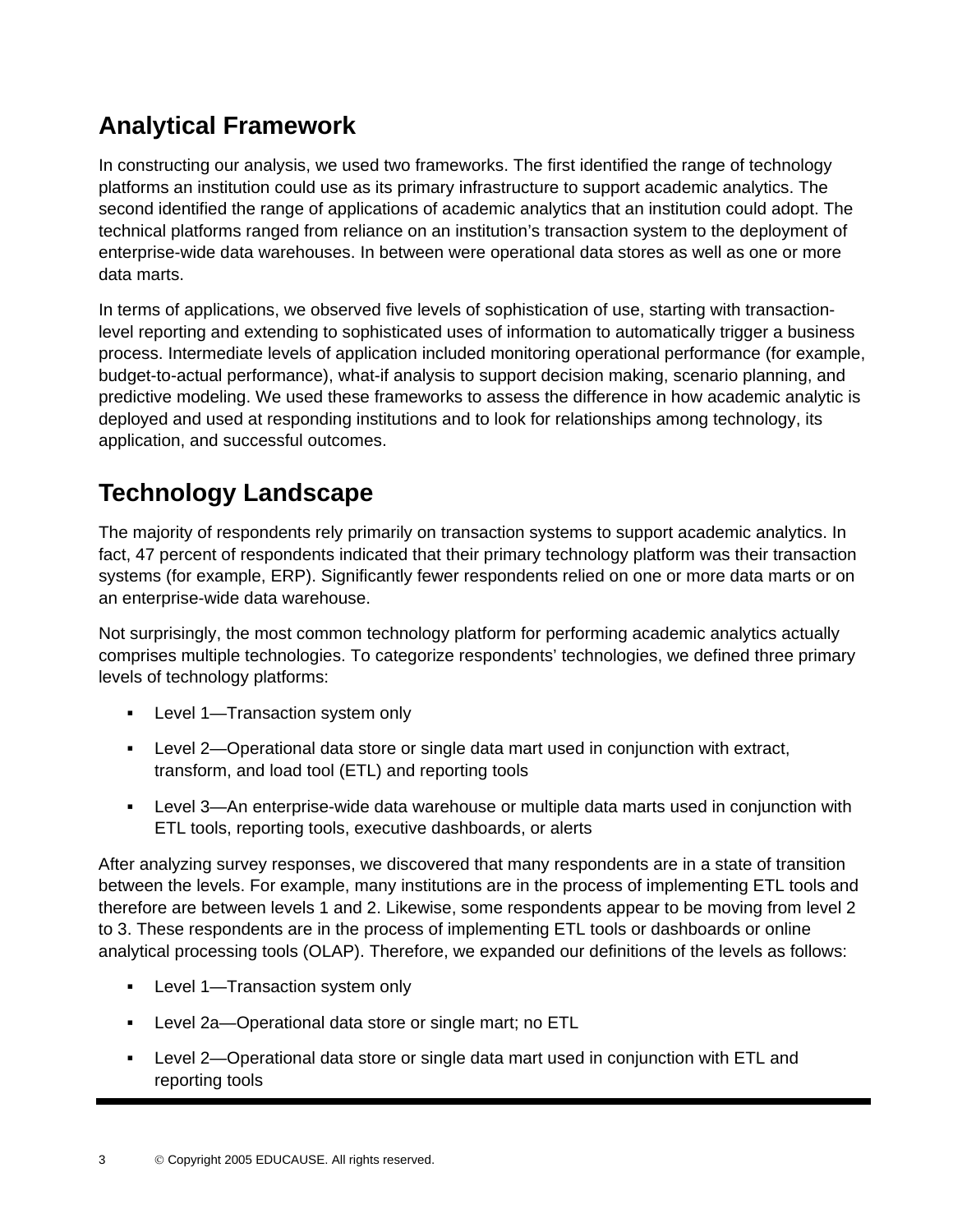## **Analytical Framework**

In constructing our analysis, we used two frameworks. The first identified the range of technology platforms an institution could use as its primary infrastructure to support academic analytics. The second identified the range of applications of academic analytics that an institution could adopt. The technical platforms ranged from reliance on an institution's transaction system to the deployment of enterprise-wide data warehouses. In between were operational data stores as well as one or more data marts.

In terms of applications, we observed five levels of sophistication of use, starting with transactionlevel reporting and extending to sophisticated uses of information to automatically trigger a business process. Intermediate levels of application included monitoring operational performance (for example, budget-to-actual performance), what-if analysis to support decision making, scenario planning, and predictive modeling. We used these frameworks to assess the difference in how academic analytic is deployed and used at responding institutions and to look for relationships among technology, its application, and successful outcomes.

# **Technology Landscape**

The majority of respondents rely primarily on transaction systems to support academic analytics. In fact, 47 percent of respondents indicated that their primary technology platform was their transaction systems (for example, ERP). Significantly fewer respondents relied on one or more data marts or on an enterprise-wide data warehouse.

Not surprisingly, the most common technology platform for performing academic analytics actually comprises multiple technologies. To categorize respondents' technologies, we defined three primary levels of technology platforms:

- **Level 1—Transaction system only**
- $\mathbf{u} = \mathbf{u}$ Level 2—Operational data store or single data mart used in conjunction with extract, transform, and load tool (ETL) and reporting tools
- Level 3—An enterprise-wide data warehouse or multiple data marts used in conjunction with ETL tools, reporting tools, executive dashboards, or alerts

After analyzing survey responses, we discovered that many respondents are in a state of transition between the levels. For example, many institutions are in the process of implementing ETL tools and therefore are between levels 1 and 2. Likewise, some respondents appear to be moving from level 2 to 3. These respondents are in the process of implementing ETL tools or dashboards or online analytical processing tools (OLAP). Therefore, we expanded our definitions of the levels as follows:

- Level 1—Transaction system only
- Level 2a—Operational data store or single mart; no ETL
- Level 2—Operational data store or single data mart used in conjunction with ETL and reporting tools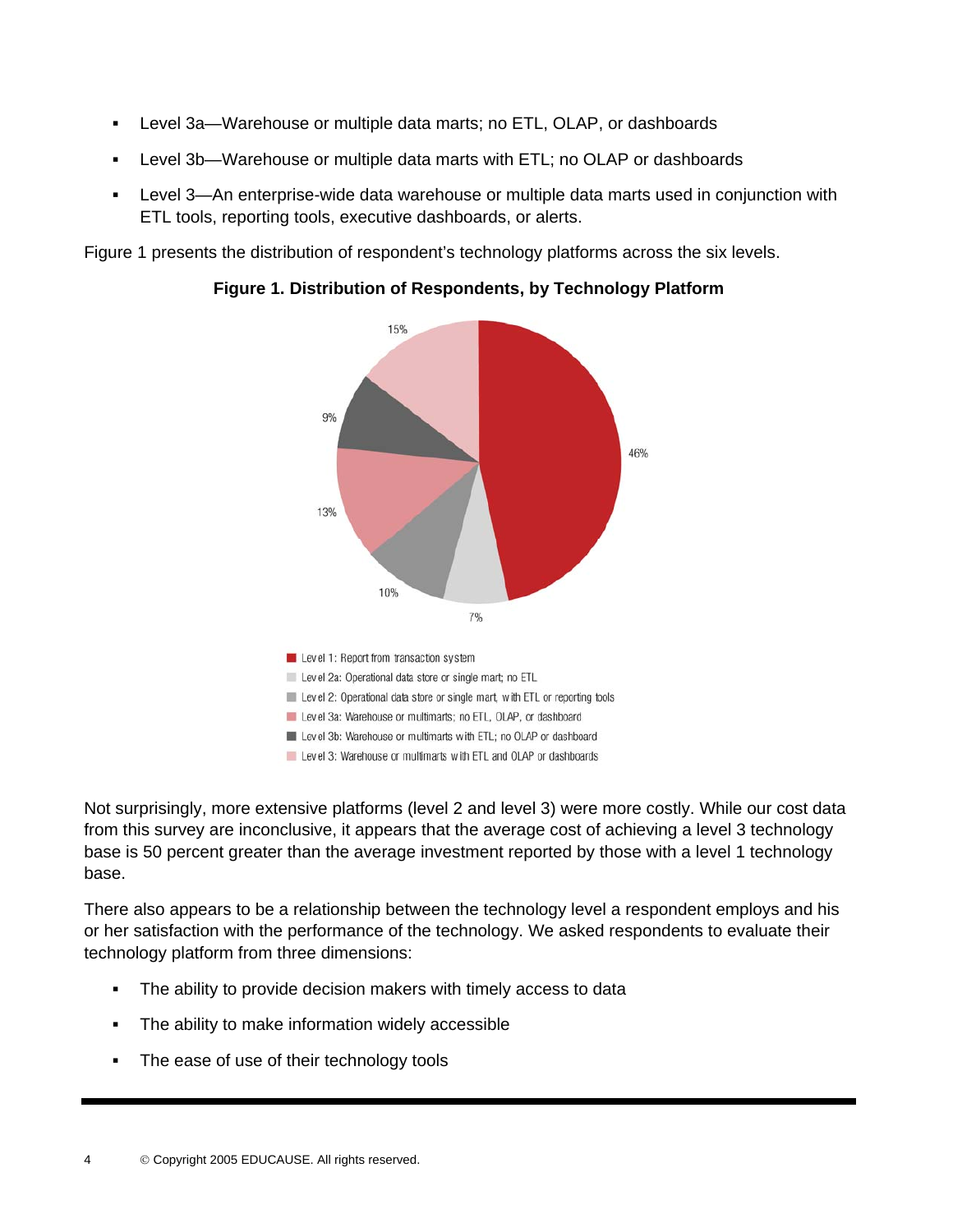- . Level 3a—Warehouse or multiple data marts; no ETL, OLAP, or dashboards
- : Level 3b—Warehouse or multiple data marts with ETL; no OLAP or dashboards
- . Level 3—An enterprise-wide data warehouse or multiple data marts used in conjunction with ETL tools, reporting tools, executive dashboards, or alerts.

Figure 1 presents the distribution of respondent's technology platforms across the six levels.



**Figure 1. Distribution of Respondents, by Technology Platform** 

Not surprisingly, more extensive platforms (level 2 and level 3) were more costly. While our cost data from this survey are inconclusive, it appears that the average cost of achieving a level 3 technology base is 50 percent greater than the average investment reported by those with a level 1 technology base.

There also appears to be a relationship between the technology level a respondent employs and his or her satisfaction with the performance of the technology. We asked respondents to evaluate their technology platform from three dimensions:

- $\blacksquare$ The ability to provide decision makers with timely access to data
- : The ability to make information widely accessible
- . The ease of use of their technology tools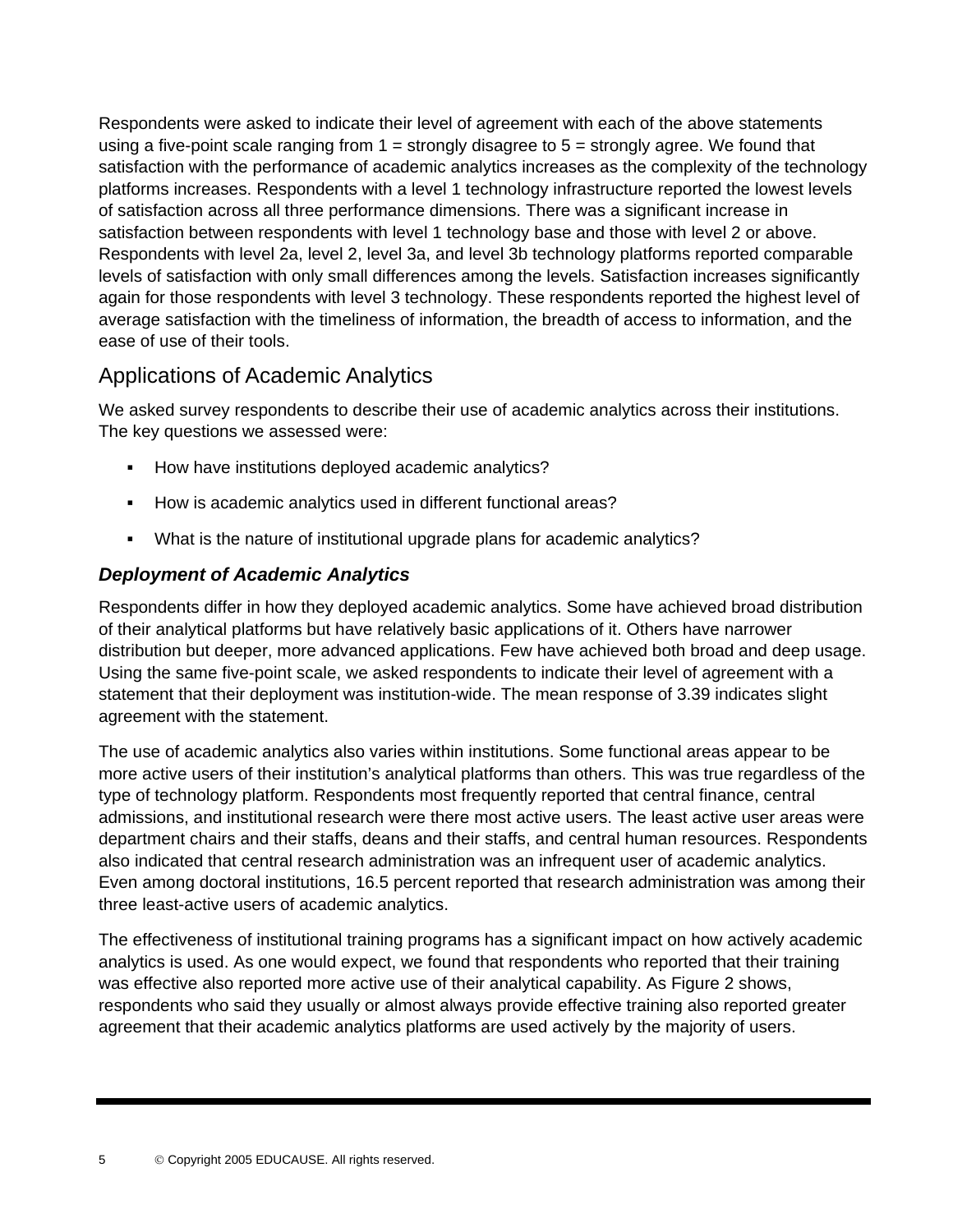Respondents were asked to indicate their level of agreement with each of the above statements using a five-point scale ranging from  $1 =$  strongly disagree to  $5 =$  strongly agree. We found that satisfaction with the performance of academic analytics increases as the complexity of the technology platforms increases. Respondents with a level 1 technology infrastructure reported the lowest levels of satisfaction across all three performance dimensions. There was a significant increase in satisfaction between respondents with level 1 technology base and those with level 2 or above. Respondents with level 2a, level 2, level 3a, and level 3b technology platforms reported comparable levels of satisfaction with only small differences among the levels. Satisfaction increases significantly again for those respondents with level 3 technology. These respondents reported the highest level of average satisfaction with the timeliness of information, the breadth of access to information, and the ease of use of their tools.

### Applications of Academic Analytics

We asked survey respondents to describe their use of academic analytics across their institutions. The key questions we assessed were:

- **How have institutions deployed academic analytics?**
- How is academic analytics used in different functional areas?
- What is the nature of institutional upgrade plans for academic analytics?

#### *Deployment of Academic Analytics*

Respondents differ in how they deployed academic analytics. Some have achieved broad distribution of their analytical platforms but have relatively basic applications of it. Others have narrower distribution but deeper, more advanced applications. Few have achieved both broad and deep usage. Using the same five-point scale, we asked respondents to indicate their level of agreement with a statement that their deployment was institution-wide. The mean response of 3.39 indicates slight agreement with the statement.

The use of academic analytics also varies within institutions. Some functional areas appear to be more active users of their institution's analytical platforms than others. This was true regardless of the type of technology platform. Respondents most frequently reported that central finance, central admissions, and institutional research were there most active users. The least active user areas were department chairs and their staffs, deans and their staffs, and central human resources. Respondents also indicated that central research administration was an infrequent user of academic analytics. Even among doctoral institutions, 16.5 percent reported that research administration was among their three least-active users of academic analytics.

The effectiveness of institutional training programs has a significant impact on how actively academic analytics is used. As one would expect, we found that respondents who reported that their training was effective also reported more active use of their analytical capability. As Figure 2 shows, respondents who said they usually or almost always provide effective training also reported greater agreement that their academic analytics platforms are used actively by the majority of users.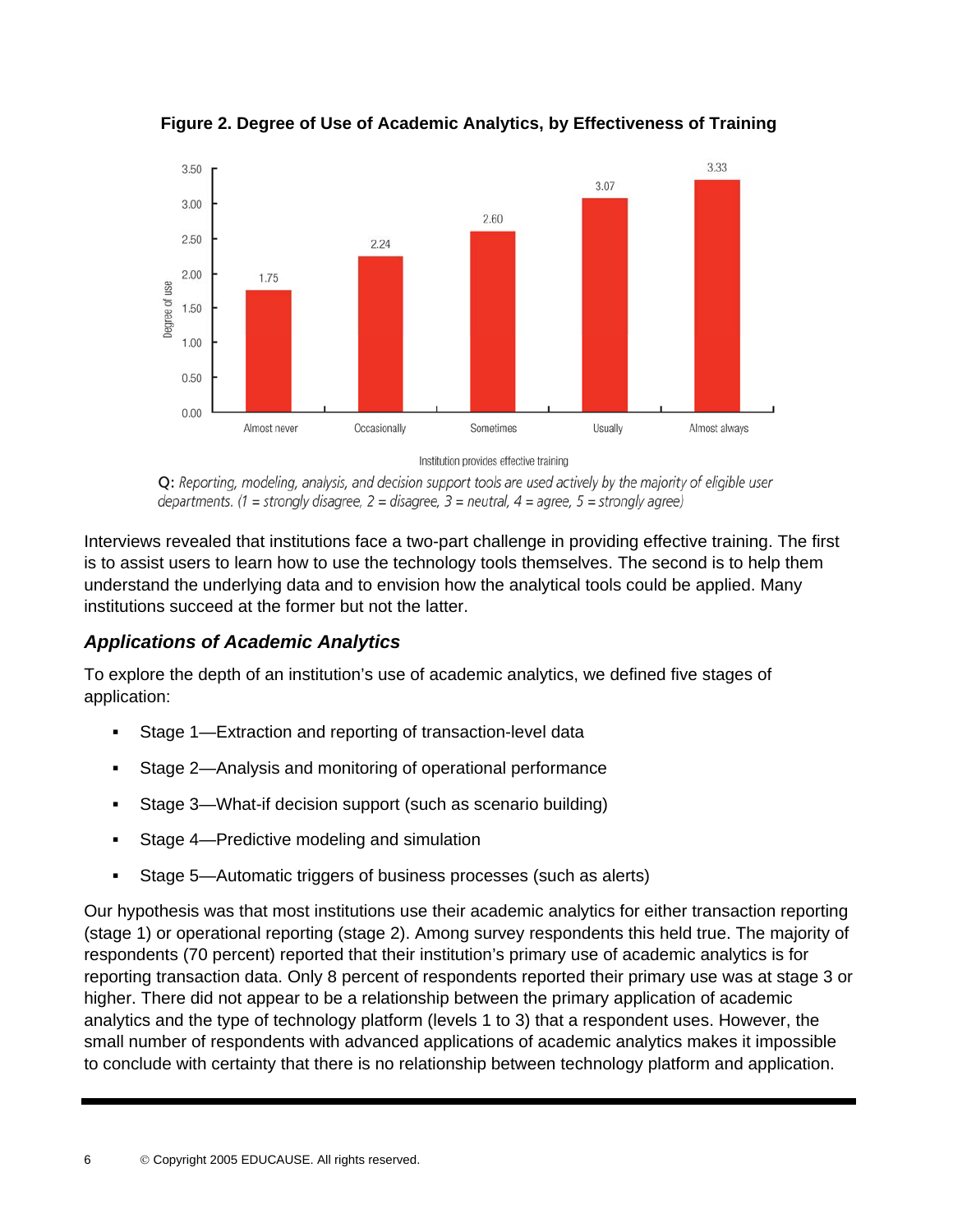

**Figure 2. Degree of Use of Academic Analytics, by Effectiveness of Training** 

Institution provides effective training

Q: Reporting, modeling, analysis, and decision support tools are used actively by the majority of eligible user departments. (1 = strongly disagree, 2 = disagree, 3 = neutral, 4 = agree, 5 = strongly agree)

Interviews revealed that institutions face a two-part challenge in providing effective training. The first is to assist users to learn how to use the technology tools themselves. The second is to help them understand the underlying data and to envision how the analytical tools could be applied. Many institutions succeed at the former but not the latter.

#### *Applications of Academic Analytics*

To explore the depth of an institution's use of academic analytics, we defined five stages of application:

- . Stage 1—Extraction and reporting of transaction-level data
- : Stage 2—Analysis and monitoring of operational performance
- $\blacksquare$ Stage 3—What-if decision support (such as scenario building)
- . Stage 4—Predictive modeling and simulation
- : Stage 5—Automatic triggers of business processes (such as alerts)

Our hypothesis was that most institutions use their academic analytics for either transaction reporting (stage 1) or operational reporting (stage 2). Among survey respondents this held true. The majority of respondents (70 percent) reported that their institution's primary use of academic analytics is for reporting transaction data. Only 8 percent of respondents reported their primary use was at stage 3 or higher. There did not appear to be a relationship between the primary application of academic analytics and the type of technology platform (levels 1 to 3) that a respondent uses. However, the small number of respondents with advanced applications of academic analytics makes it impossible to conclude with certainty that there is no relationship between technology platform and application.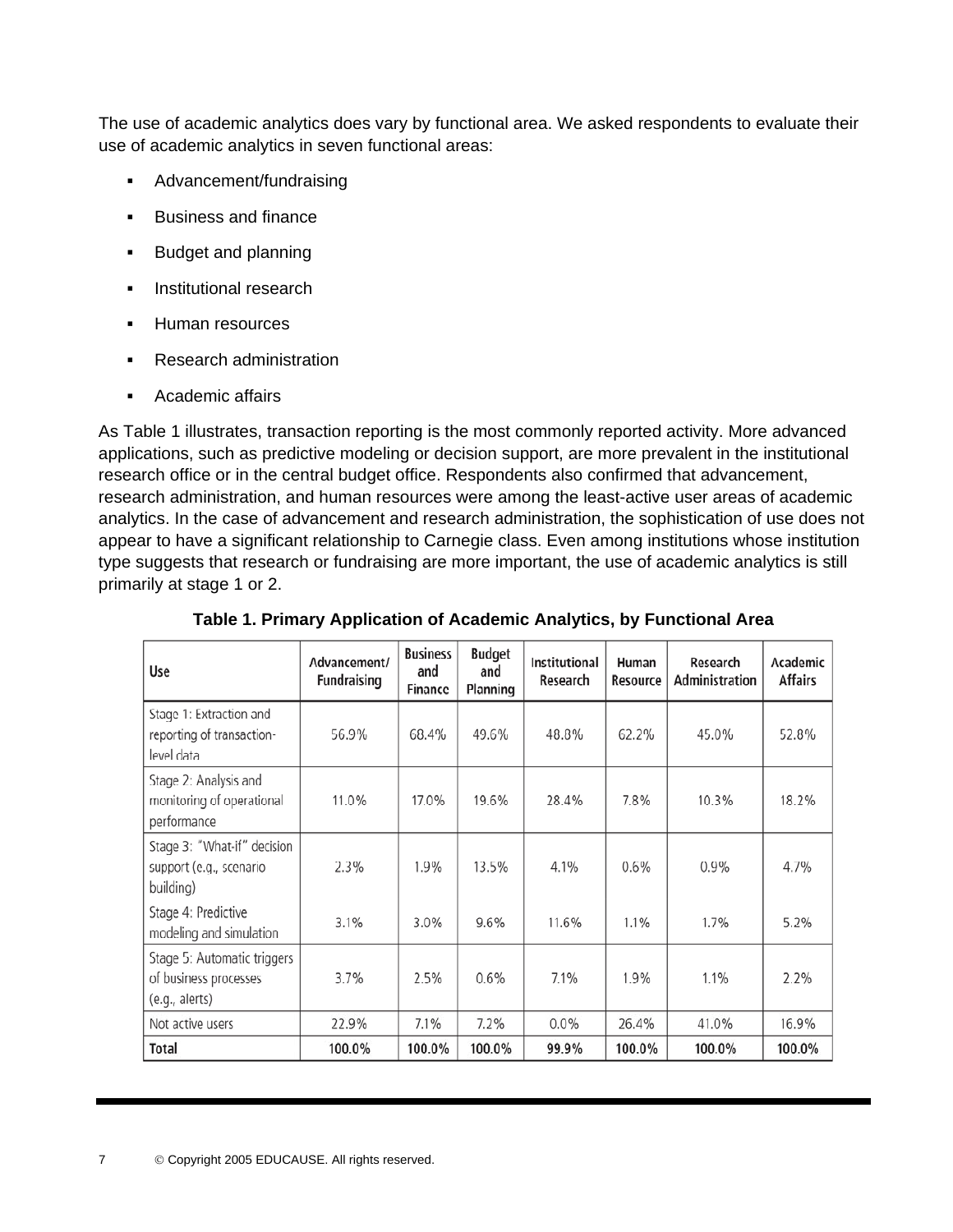The use of academic analytics does vary by functional area. We asked respondents to evaluate their use of academic analytics in seven functional areas:

- Advancement/fundraising
- $\blacksquare$ Business and finance
- $\mathbf{r}$ Budget and planning
- $\mathbf{r}$ Institutional research
- . Human resources
- **Research administration**
- **Academic affairs**

As Table 1 illustrates, transaction reporting is the most commonly reported activity. More advanced applications, such as predictive modeling or decision support, are more prevalent in the institutional research office or in the central budget office. Respondents also confirmed that advancement, research administration, and human resources were among the least-active user areas of academic analytics. In the case of advancement and research administration, the sophistication of use does not appear to have a significant relationship to Carnegie class. Even among institutions whose institution type suggests that research or fundraising are more important, the use of academic analytics is still primarily at stage 1 or 2.

| Use                                                                    | Advancement/<br><b>Fundraising</b> | <b>Business</b><br>and<br>Finance | <b>Budget</b><br>and<br>Planning | <b>Institutional</b><br>Research | Human<br>Resource | Research<br>Administration | Academic<br><b>Affairs</b> |
|------------------------------------------------------------------------|------------------------------------|-----------------------------------|----------------------------------|----------------------------------|-------------------|----------------------------|----------------------------|
| Stage 1: Extraction and<br>reporting of transaction-<br>level data     | 56.9%                              | 68.4%                             | 49.6%                            | 48.8%                            | 62.2%             | 45.0%                      | 52.8%                      |
| Stage 2: Analysis and<br>monitoring of operational<br>performance      | 11.0%                              | 17.0%                             | 19.6%                            | 28.4%                            | 7.8%              | 10.3%                      | 18.2%                      |
| Stage 3: "What-if" decision<br>support (e.g., scenario<br>building)    | 2.3%                               | 1.9%                              | 13.5%                            | 4.1%                             | $0.6\%$           | $0.9\%$                    | 4.7%                       |
| Stage 4: Predictive<br>modeling and simulation                         | 3.1%                               | 3.0%                              | 9.6%                             | 11.6%                            | 1.1%              | 1.7%                       | 5.2%                       |
| Stage 5: Automatic triggers<br>of business processes<br>(e.g., alerts) | 3.7%                               | 2.5%                              | 0.6%                             | 7.1%                             | 1.9%              | 1.1%                       | 2.2%                       |
| Not active users                                                       | 22.9%                              | 7.1%                              | 7.2%                             | $0.0\%$                          | 26.4%             | 41.0%                      | 16.9%                      |
| Total                                                                  | 100.0%                             | 100.0%                            | 100.0%                           | 99.9%                            | 100.0%            | 100.0%                     | 100.0%                     |

**Table 1. Primary Application of Academic Analytics, by Functional Area**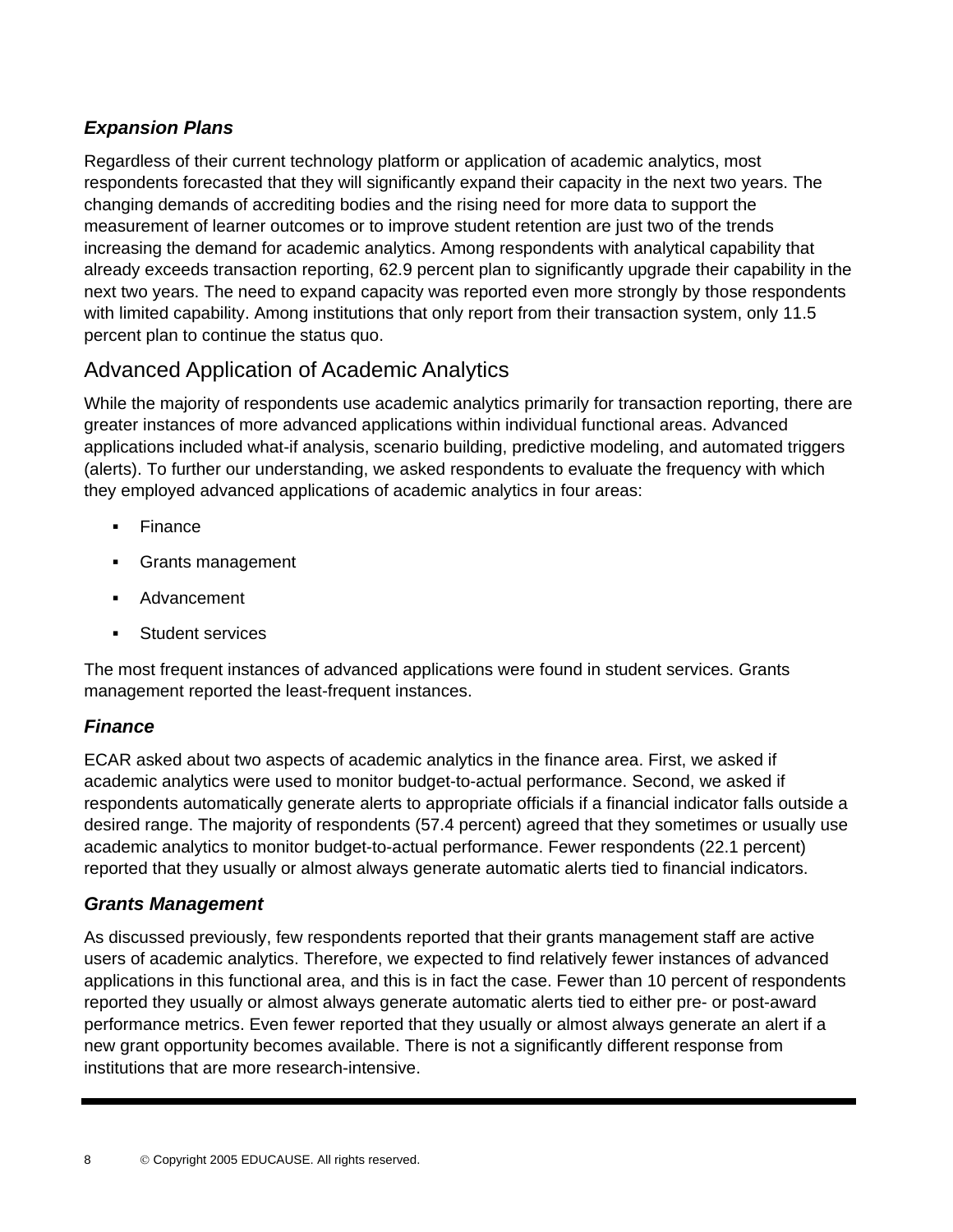#### *Expansion Plans*

Regardless of their current technology platform or application of academic analytics, most respondents forecasted that they will significantly expand their capacity in the next two years. The changing demands of accrediting bodies and the rising need for more data to support the measurement of learner outcomes or to improve student retention are just two of the trends increasing the demand for academic analytics. Among respondents with analytical capability that already exceeds transaction reporting, 62.9 percent plan to significantly upgrade their capability in the next two years. The need to expand capacity was reported even more strongly by those respondents with limited capability. Among institutions that only report from their transaction system, only 11.5 percent plan to continue the status quo.

### Advanced Application of Academic Analytics

While the majority of respondents use academic analytics primarily for transaction reporting, there are greater instances of more advanced applications within individual functional areas. Advanced applications included what-if analysis, scenario building, predictive modeling, and automated triggers (alerts). To further our understanding, we asked respondents to evaluate the frequency with which they employed advanced applications of academic analytics in four areas:

- . Finance
- . Grants management
- : Advancement
- . Student services

The most frequent instances of advanced applications were found in student services. Grants management reported the least-frequent instances.

#### *Finance*

ECAR asked about two aspects of academic analytics in the finance area. First, we asked if academic analytics were used to monitor budget-to-actual performance. Second, we asked if respondents automatically generate alerts to appropriate officials if a financial indicator falls outside a desired range. The majority of respondents (57.4 percent) agreed that they sometimes or usually use academic analytics to monitor budget-to-actual performance. Fewer respondents (22.1 percent) reported that they usually or almost always generate automatic alerts tied to financial indicators.

#### *Grants Management*

As discussed previously, few respondents reported that their grants management staff are active users of academic analytics. Therefore, we expected to find relatively fewer instances of advanced applications in this functional area, and this is in fact the case. Fewer than 10 percent of respondents reported they usually or almost always generate automatic alerts tied to either pre- or post-award performance metrics. Even fewer reported that they usually or almost always generate an alert if a new grant opportunity becomes available. There is not a significantly different response from institutions that are more research-intensive.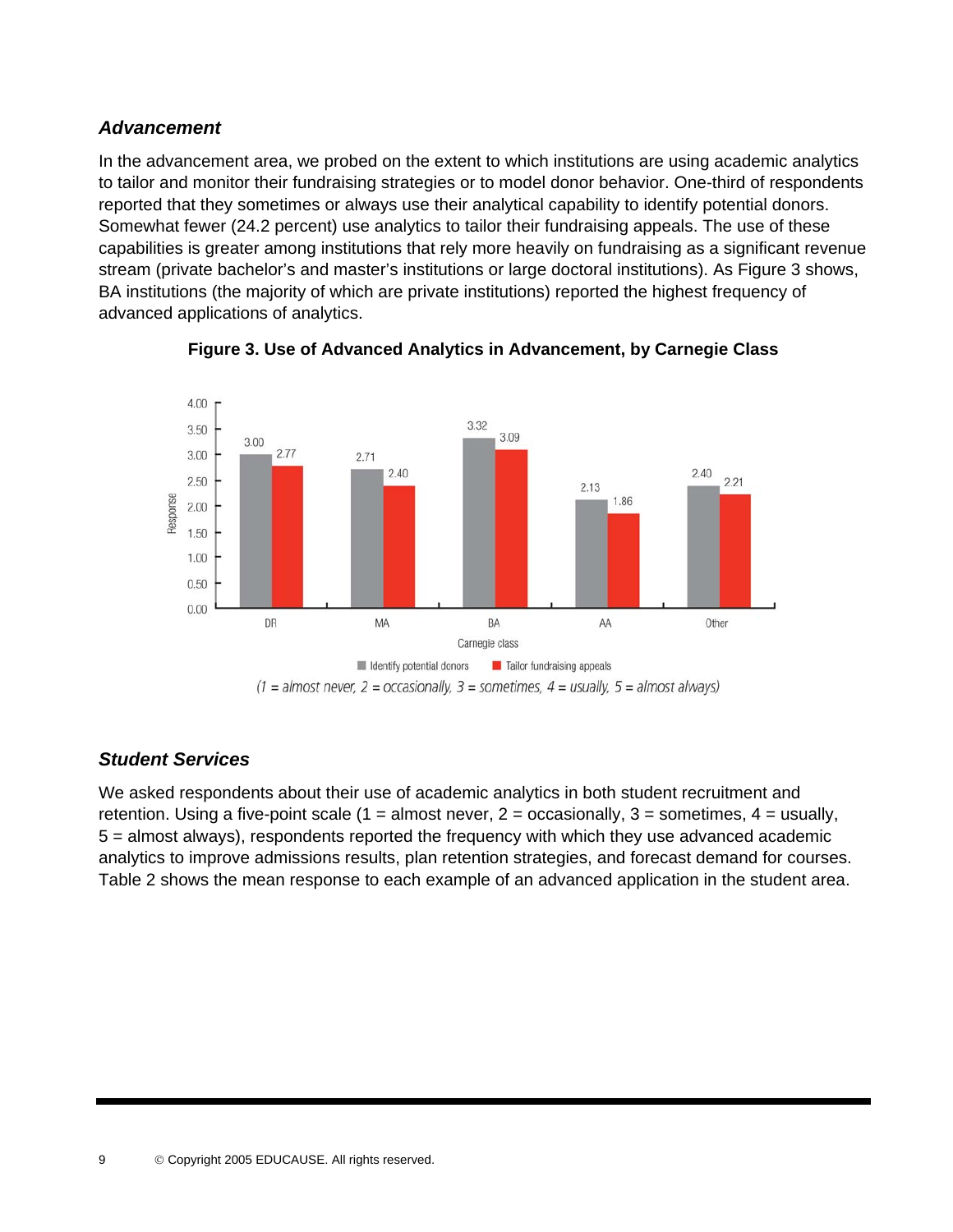#### *Advancement*

In the advancement area, we probed on the extent to which institutions are using academic analytics to tailor and monitor their fundraising strategies or to model donor behavior. One-third of respondents reported that they sometimes or always use their analytical capability to identify potential donors. Somewhat fewer (24.2 percent) use analytics to tailor their fundraising appeals. The use of these capabilities is greater among institutions that rely more heavily on fundraising as a significant revenue stream (private bachelor's and master's institutions or large doctoral institutions). As Figure 3 shows, BA institutions (the majority of which are private institutions) reported the highest frequency of advanced applications of analytics.





#### *Student Services*

We asked respondents about their use of academic analytics in both student recruitment and retention. Using a five-point scale (1 = almost never,  $2 =$  occasionally,  $3 =$  sometimes,  $4 =$  usually, 5 = almost always), respondents reported the frequency with which they use advanced academic analytics to improve admissions results, plan retention strategies, and forecast demand for courses. Table 2 shows the mean response to each example of an advanced application in the student area.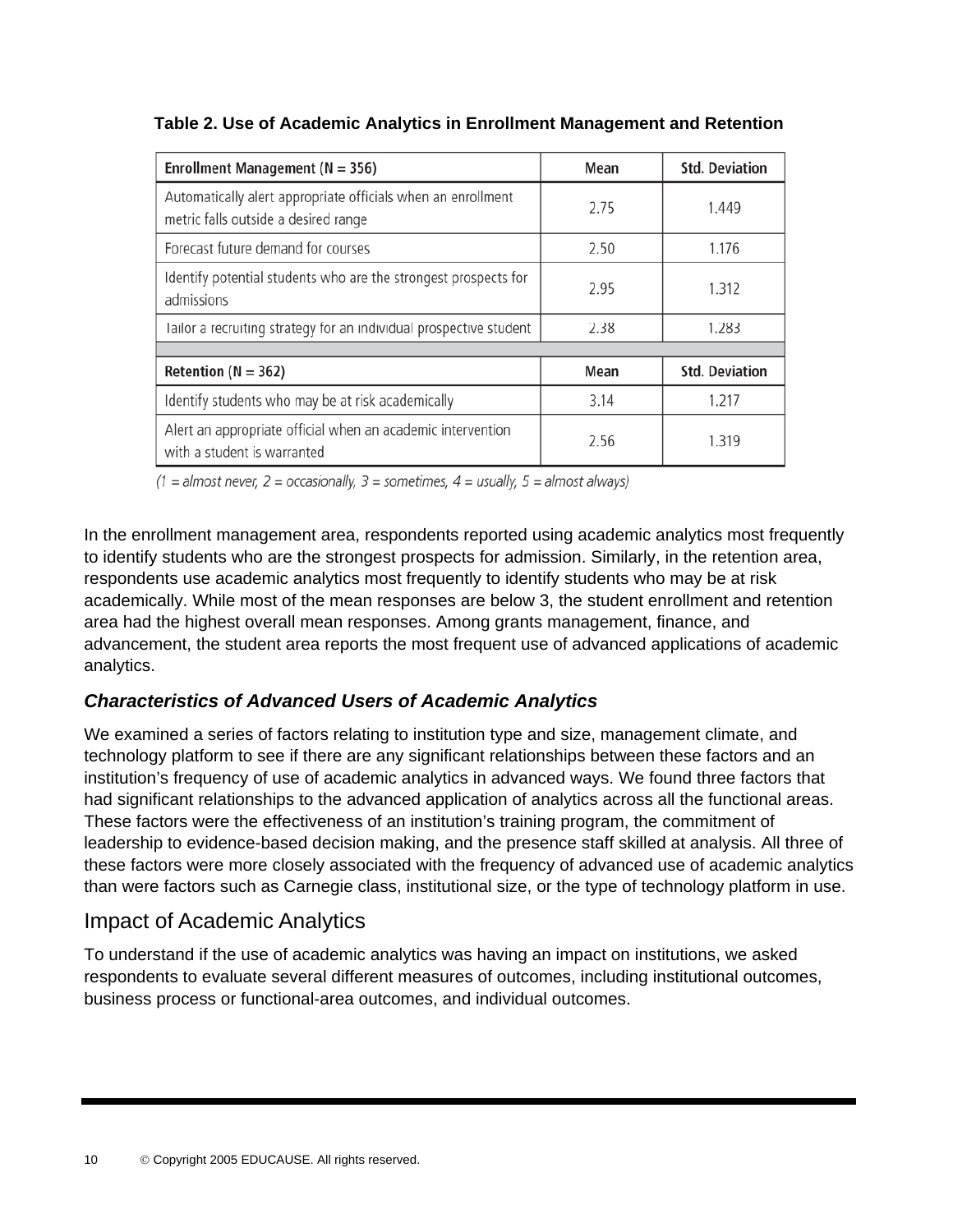| Enrollment Management ( $N = 356$ )                                                                  | Mean | <b>Std. Deviation</b> |
|------------------------------------------------------------------------------------------------------|------|-----------------------|
| Automatically alert appropriate officials when an enrollment<br>metric falls outside a desired range | 2.75 | 1.449                 |
| Forecast future demand for courses                                                                   | 2.50 | 1.176                 |
| Identify potential students who are the strongest prospects for<br>admissions                        | 2.95 | 1.312                 |
| Tailor a recruiting strategy for an individual prospective student                                   | 2.38 | 1.283                 |
|                                                                                                      |      |                       |
| Retention ( $N = 362$ )                                                                              | Mean | <b>Std. Deviation</b> |
| Identify students who may be at risk academically                                                    | 3.14 | 1.217                 |
| Alert an appropriate official when an academic intervention<br>with a student is warranted           | 2.56 | 1.319                 |

**Table 2. Use of Academic Analytics in Enrollment Management and Retention** 

 $(1 =$  almost never,  $2 =$  occasionally,  $3 =$  sometimes,  $4 =$  usually,  $5 =$  almost always)

In the enrollment management area, respondents reported using academic analytics most frequently to identify students who are the strongest prospects for admission. Similarly, in the retention area, respondents use academic analytics most frequently to identify students who may be at risk academically. While most of the mean responses are below 3, the student enrollment and retention area had the highest overall mean responses. Among grants management, finance, and advancement, the student area reports the most frequent use of advanced applications of academic analytics.

#### *Characteristics of Advanced Users of Academic Analytics*

We examined a series of factors relating to institution type and size, management climate, and technology platform to see if there are any significant relationships between these factors and an institution's frequency of use of academic analytics in advanced ways. We found three factors that had significant relationships to the advanced application of analytics across all the functional areas. These factors were the effectiveness of an institution's training program, the commitment of leadership to evidence-based decision making, and the presence staff skilled at analysis. All three of these factors were more closely associated with the frequency of advanced use of academic analytics than were factors such as Carnegie class, institutional size, or the type of technology platform in use.

### Impact of Academic Analytics

To understand if the use of academic analytics was having an impact on institutions, we asked respondents to evaluate several different measures of outcomes, including institutional outcomes, business process or functional-area outcomes, and individual outcomes.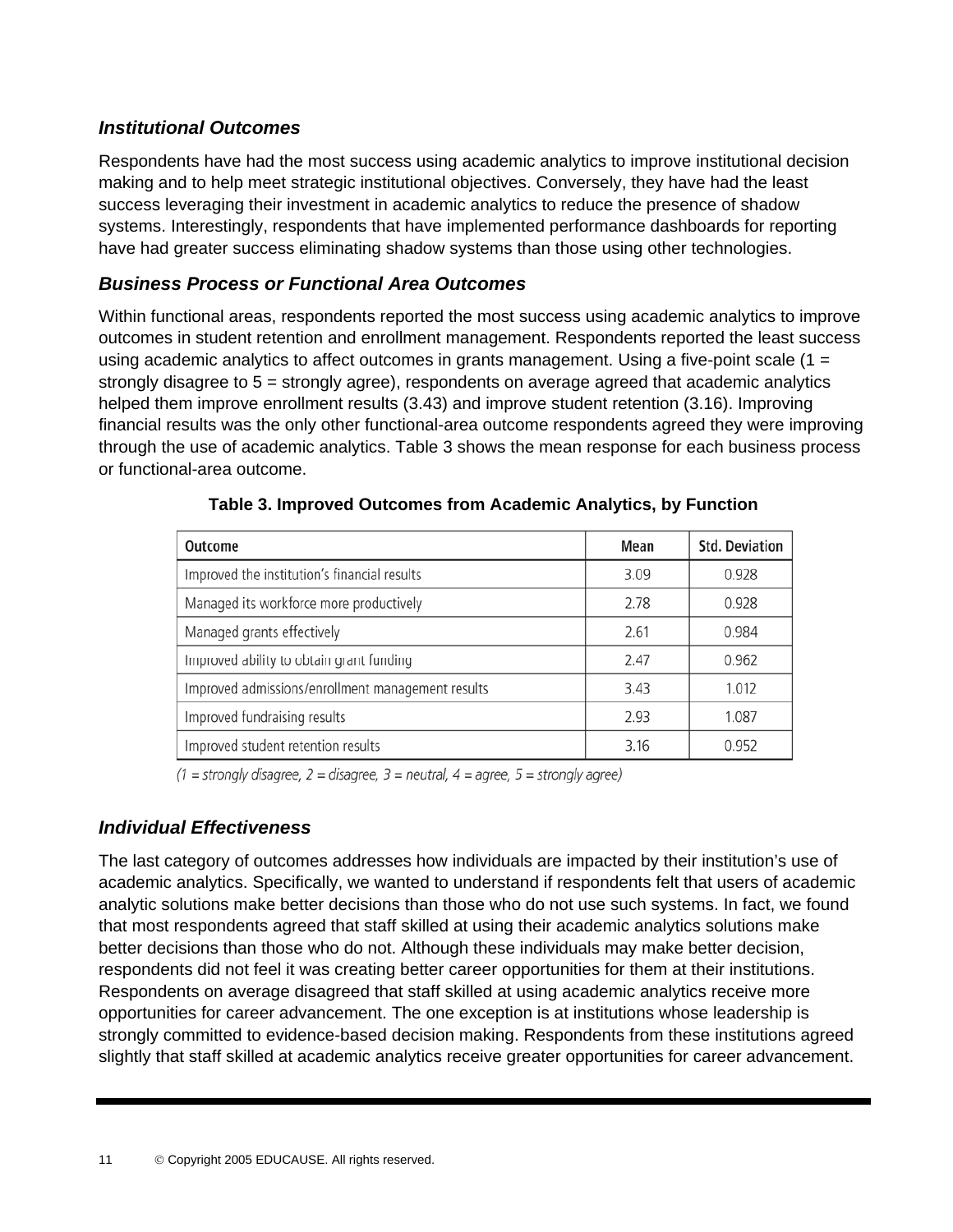#### *Institutional Outcomes*

Respondents have had the most success using academic analytics to improve institutional decision making and to help meet strategic institutional objectives. Conversely, they have had the least success leveraging their investment in academic analytics to reduce the presence of shadow systems. Interestingly, respondents that have implemented performance dashboards for reporting have had greater success eliminating shadow systems than those using other technologies.

#### *Business Process or Functional Area Outcomes*

Within functional areas, respondents reported the most success using academic analytics to improve outcomes in student retention and enrollment management. Respondents reported the least success using academic analytics to affect outcomes in grants management. Using a five-point scale  $(1 =$ strongly disagree to 5 = strongly agree), respondents on average agreed that academic analytics helped them improve enrollment results (3.43) and improve student retention (3.16). Improving financial results was the only other functional-area outcome respondents agreed they were improving through the use of academic analytics. Table 3 shows the mean response for each business process or functional-area outcome.

| Outcome                                           | Mean | <b>Std. Deviation</b> |
|---------------------------------------------------|------|-----------------------|
| Improved the institution's financial results      | 3.09 | 0.928                 |
| Managed its workforce more productively           | 2.78 | 0.928                 |
| Managed grants effectively                        | 2.61 | 0.984                 |
| Improved ability to obtain grant funding          | 2.47 | 0.962                 |
| Improved admissions/enrollment management results | 3.43 | 1.012                 |
| Improved fundraising results                      | 2.93 | 1.087                 |
| Improved student retention results                | 3.16 | 0.952                 |

| Table 3. Improved Outcomes from Academic Analytics, by Function |  |  |  |  |
|-----------------------------------------------------------------|--|--|--|--|
|-----------------------------------------------------------------|--|--|--|--|

 $(1 = strongly disagree, 2 = disagree, 3 = neutral, 4 = agree, 5 = strongly agree)$ 

#### *Individual Effectiveness*

The last category of outcomes addresses how individuals are impacted by their institution's use of academic analytics. Specifically, we wanted to understand if respondents felt that users of academic analytic solutions make better decisions than those who do not use such systems. In fact, we found that most respondents agreed that staff skilled at using their academic analytics solutions make better decisions than those who do not. Although these individuals may make better decision, respondents did not feel it was creating better career opportunities for them at their institutions. Respondents on average disagreed that staff skilled at using academic analytics receive more opportunities for career advancement. The one exception is at institutions whose leadership is strongly committed to evidence-based decision making. Respondents from these institutions agreed slightly that staff skilled at academic analytics receive greater opportunities for career advancement.